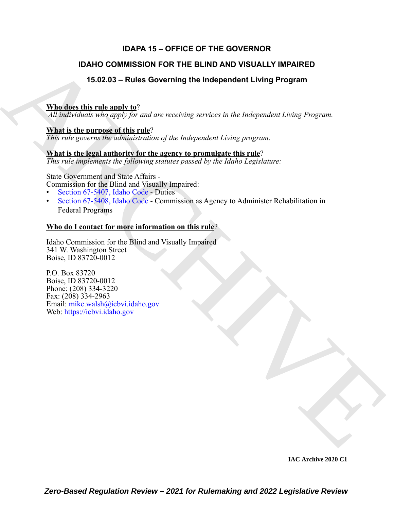## **IDAPA 15 – OFFICE OF THE GOVERNOR**

## **IDAHO COMMISSION FOR THE BLIND AND VISUALLY IMPAIRED**

## **15.02.03 – Rules Governing the Independent Living Program**

## **Who does this rule apply to**?

*All individuals who apply for and are receiving services in the Independent Living Program.*

### **What is the purpose of this rule**?

*This rule governs the administration of the Independent Living program.*

## **What is the legal authority for the agency to promulgate this rule**?

*This rule implements the following statutes passed by the Idaho Legislature:*

State Government and State Affairs - Commission for the Blind and Visually Impaired:

- Section 67-5407, Idaho Code Duties
- Section 67-5408, Idaho Code Commission as Agency to Administer Rehabilitation in Federal Programs

## **Who do I contact for more information on this rule**?

Idaho Commission for the Blind and Visually Impaired 341 W. Washington Street Boise, ID 83720-0012

**IDAHO COMMISSION FOR THE BLIND AND VISUALLY IMPAIRED**<br>
15.02.03 – Rules Governing the Independent Living Program<br>
What does this religion is the magnitude of the independent Living Program<br>
A[RC](https://legislature.idaho.gov/statutesrules/idstat/Title67/T67CH54/SECT67-5407/)[HIV](mailto:mike.walsh@icbvi.idaho.gov)E TO the program of the P.O. Box 83720 Boise, ID 83720-0012 Phone: (208) 334-3220 Fax: (208) 334-2963 Email: mike.walsh@icbvi.idaho.gov Web: https://icbvi.idaho.gov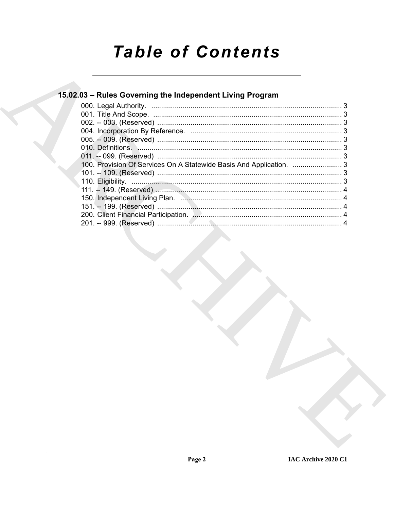# **Table of Contents**

## 15.02.03 - Rules Governing the Independent Living Program

| 100. Provision Of Services On A Statewide Basis And Application.  3 |  |
|---------------------------------------------------------------------|--|
|                                                                     |  |
|                                                                     |  |
|                                                                     |  |
|                                                                     |  |
|                                                                     |  |
|                                                                     |  |
|                                                                     |  |
|                                                                     |  |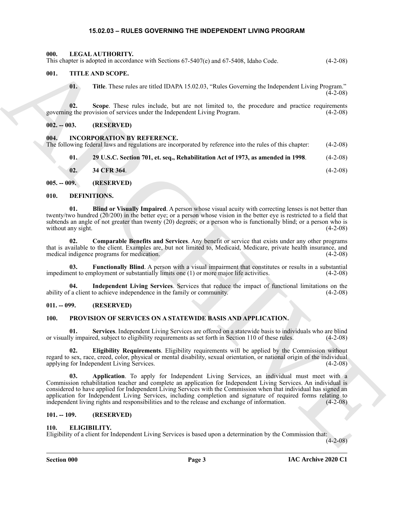#### **15.02.03 – RULES GOVERNING THE INDEPENDENT LIVING PROGRAM**

<span id="page-2-18"></span><span id="page-2-1"></span><span id="page-2-0"></span>**000. LEGAL AUTHORITY.** This chapter is adopted in accordance with Sections 67-5407(e) and 67-5408, Idaho Code. (4-2-08)

#### <span id="page-2-2"></span>**001. TITLE AND SCOPE.**

<span id="page-2-25"></span><span id="page-2-24"></span><span id="page-2-23"></span>**01. Title**. These rules are titled IDAPA 15.02.03, "Rules Governing the Independent Living Program."  $(4-2-08)$ 

**02.** Scope. These rules include, but are not limited to, the procedure and practice requirements g the provision of services under the Independent Living Program. (4-2-08) governing the provision of services under the Independent Living Program.

<span id="page-2-3"></span>**002. -- 003. (RESERVED)**

<span id="page-2-17"></span><span id="page-2-4"></span>**004. INCORPORATION BY REFERENCE.**

|  |  |  | The following federal laws and regulations are incorporated by reference into the rules of this chapter: | $(4-2-08)$ |
|--|--|--|----------------------------------------------------------------------------------------------------------|------------|
|  |  |  |                                                                                                          |            |

**01. 29 U.S.C. Section 701, et. seq., Rehabilitation Act of 1973, as amended in 1998**. (4-2-08)

<span id="page-2-12"></span><span id="page-2-11"></span>**02. 34 CFR 364**. (4-2-08)

<span id="page-2-5"></span>**005. -- 009. (RESERVED)**

#### <span id="page-2-6"></span>**010. DEFINITIONS.**

**01. Blind or Visually Impaired**. A person whose visual acuity with correcting lenses is not better than twenty/two hundred (20/200) in the better eye; or a person whose vision in the better eye is restricted to a field that subtends an angle of not greater than twenty (20) degrees; or a person who is functionally blind; or a person who is without any sight. (4-2-08)

<span id="page-2-13"></span>**02. Comparable Benefits and Services**. Any benefit or service that exists under any other programs that is available to the client. Examples are, but not limited to, Medicaid, Medicare, private health insurance, and medical indigence programs for medication.

<span id="page-2-14"></span>**03. Functionally Blind**. A person with a visual impairment that constitutes or results in a substantial impediment to employment or substantially limits one (1) or more major life activities. (4-2-08)

<span id="page-2-15"></span>**04. Independent Living Services**. Services that reduce the impact of functional limitations on the ability of a client to achieve independence in the family or community. (4-2-08)

#### <span id="page-2-7"></span>**011. -- 099. (RESERVED)**

#### <span id="page-2-19"></span><span id="page-2-8"></span>**100. PROVISION OF SERVICES ON A STATEWIDE BASIS AND APPLICATION.**

<span id="page-2-22"></span>**01. Services**. Independent Living Services are offered on a statewide basis to individuals who are blind or visually impaired, subject to eligibility requirements as set forth in Section 110 of these rules. (4-2-08)

<span id="page-2-21"></span><span id="page-2-20"></span>**02. Eligibility Requirements**. Eligibility requirements will be applied by the Commission without regard to sex, race, creed, color, physical or mental disability, sexual orientation, or national origin of the individual applying for Independent Living Services. (4-2-08) (4-2-08)

This department subject in the stock of 15-4970 mail 67-5480, labac Code<br>
01. THE AND SCOPE.<br>
01. The Toss whis contribute the stock of the stock of the stock of the stock of the stock of the stock of the stock of the sto **03. Application**. To apply for Independent Living Services, an individual must meet with a Commission rehabilitation teacher and complete an application for Independent Living Services. An individual is considered to have applied for Independent Living Services with the Commission when that individual has signed an application for Independent Living Services, including completion and signature of required forms relating to independent living rights and responsibilities and to the release and exchange of information. (4-2-08)

#### <span id="page-2-9"></span>**101. -- 109. (RESERVED)**

#### <span id="page-2-16"></span><span id="page-2-10"></span>**110. ELIGIBILITY.**

Eligibility of a client for Independent Living Services is based upon a determination by the Commission that:

 $(4-2-08)$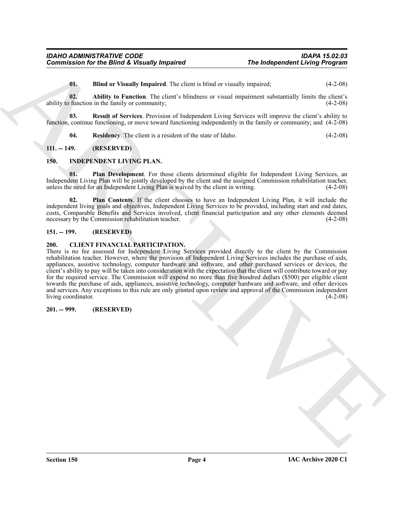<span id="page-3-9"></span><span id="page-3-7"></span><span id="page-3-6"></span>**01. Blind or Visually Impaired**. The client is blind or visually impaired; (4-2-08)

**02. Ability to Function**. The client's blindness or visual impairment substantially limits the client's ability to function in the family or community; (4-2-08)

**03. Result of Services**. Provision of Independent Living Services will improve the client's ability to function, continue functioning, or move toward functioning independently in the family or community; and (4-2-08)

<span id="page-3-12"></span><span id="page-3-10"></span><span id="page-3-8"></span>**04. Residency**. The client is a resident of the state of Idaho. (4-2-08)

#### <span id="page-3-0"></span>**111. -- 149. (RESERVED)**

#### <span id="page-3-1"></span>**150. INDEPENDENT LIVING PLAN.**

**01. Plan Development**. For those clients determined eligible for Independent Living Services, an Independent Living Plan will be jointly developed by the client and the assigned Commission rehabilitation teacher, unless the need for an Independent Living Plan is waived by the client in writing. (4-2-08)

<span id="page-3-11"></span>**02. Plan Contents**. If the client chooses to have an Independent Living Plan, it will include the independent living goals and objectives, Independent Living Services to be provided, including start and end dates, costs, Comparable Benefits and Services involved, client financial participation and any other elements deemed necessary by the Commission rehabilitation teacher. (4-2-08)

#### <span id="page-3-2"></span>**151. -- 199. (RESERVED)**

#### <span id="page-3-5"></span><span id="page-3-3"></span>**200. CLIENT FINANCIAL PARTICIPATION.**

The Independent Living Program<br>
11. Blue of Visual In Impactive The Tree of the state of the United State Control of the Control of the Control of the Control of the Control of the Control of the Control of the Control of There is no fee assessed for Independent Living Services provided directly to the client by the Commission rehabilitation teacher. However, where the provision of Independent Living Services includes the purchase of aids, appliances, assistive technology, computer hardware and software, and other purchased services or devices, the client's ability to pay will be taken into consideration with the expectation that the client will contribute toward or pay for the required service. The Commission will expend no more than five hundred dollars (\$500) per eligible client towards the purchase of aids, appliances, assistive technology, computer hardware and software, and other devices and services. Any exceptions to this rule are only granted upon review and approval of the Commission independent living coordinator. (4-2-08) living coordinator.

#### <span id="page-3-4"></span>**201. -- 999. (RESERVED)**